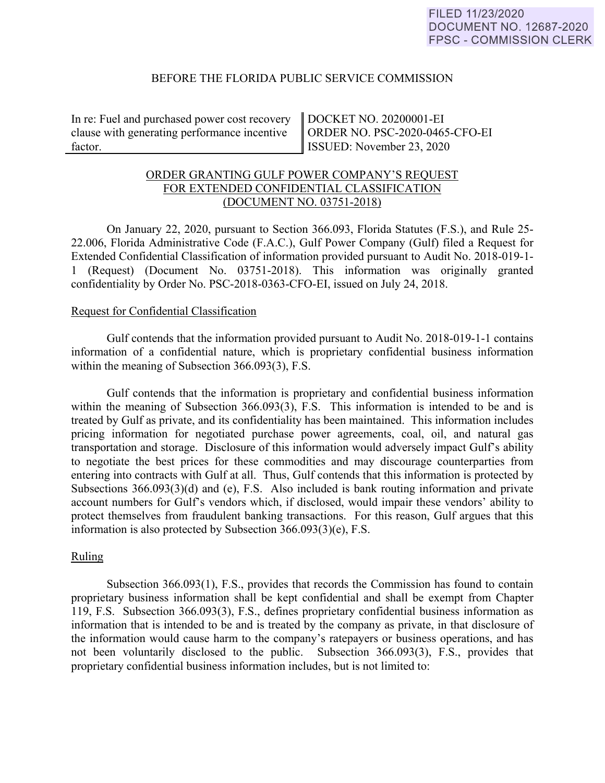### BEFORE THE FLORIDA PUBLIC SERVICE COMMISSION

In re: Fuel and purchased power cost recovery clause with generating performance incentive factor.

DOCKET NO. 20200001-EI ORDER NO. PSC-2020-0465-CFO-EI ISSUED: November 23, 2020

# ORDER GRANTING GULF POWER COMPANY'S REQUEST FOR EXTENDED CONFIDENTIAL CLASSIFICATION (DOCUMENT NO. 03751-2018)

On January 22, 2020, pursuant to Section 366.093, Florida Statutes (F.S.), and Rule 25- 22.006, Florida Administrative Code (F.A.C.), Gulf Power Company (Gulf) filed a Request for Extended Confidential Classification of information provided pursuant to Audit No. 2018-019-1- 1 (Request) (Document No. 03751-2018). This information was originally granted confidentiality by Order No. PSC-2018-0363-CFO-EI, issued on July 24, 2018.

#### Request for Confidential Classification

Gulf contends that the information provided pursuant to Audit No. 2018-019-1-1 contains information of a confidential nature, which is proprietary confidential business information within the meaning of Subsection 366.093(3), F.S.

Gulf contends that the information is proprietary and confidential business information within the meaning of Subsection 366.093(3), F.S. This information is intended to be and is treated by Gulf as private, and its confidentiality has been maintained. This information includes pricing information for negotiated purchase power agreements, coal, oil, and natural gas transportation and storage. Disclosure of this information would adversely impact Gulf's ability to negotiate the best prices for these commodities and may discourage counterparties from entering into contracts with Gulf at all. Thus, Gulf contends that this information is protected by Subsections 366.093(3)(d) and (e), F.S. Also included is bank routing information and private account numbers for Gulf's vendors which, if disclosed, would impair these vendors' ability to protect themselves from fraudulent banking transactions. For this reason, Gulf argues that this information is also protected by Subsection 366.093(3)(e), F.S.

# Ruling

Subsection 366.093(1), F.S., provides that records the Commission has found to contain proprietary business information shall be kept confidential and shall be exempt from Chapter 119, F.S. Subsection 366.093(3), F.S., defines proprietary confidential business information as information that is intended to be and is treated by the company as private, in that disclosure of the information would cause harm to the company's ratepayers or business operations, and has not been voluntarily disclosed to the public. Subsection 366.093(3), F.S., provides that proprietary confidential business information includes, but is not limited to: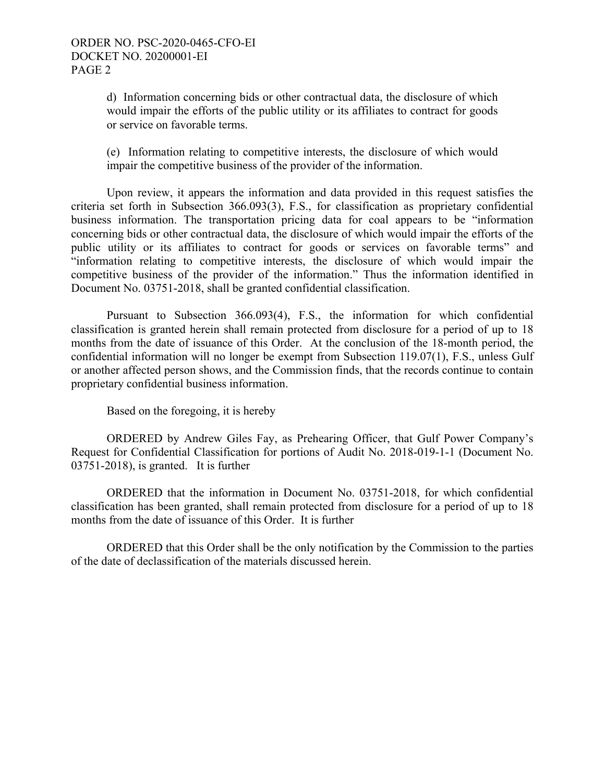d) Information concerning bids or other contractual data, the disclosure of which would impair the efforts of the public utility or its affiliates to contract for goods or service on favorable terms.

(e) Information relating to competitive interests, the disclosure of which would impair the competitive business of the provider of the information.

Upon review, it appears the information and data provided in this request satisfies the criteria set forth in Subsection 366.093(3), F.S., for classification as proprietary confidential business information. The transportation pricing data for coal appears to be "information concerning bids or other contractual data, the disclosure of which would impair the efforts of the public utility or its affiliates to contract for goods or services on favorable terms" and "information relating to competitive interests, the disclosure of which would impair the competitive business of the provider of the information." Thus the information identified in Document No. 03751-2018, shall be granted confidential classification.

Pursuant to Subsection 366.093(4), F.S., the information for which confidential classification is granted herein shall remain protected from disclosure for a period of up to 18 months from the date of issuance of this Order. At the conclusion of the 18-month period, the confidential information will no longer be exempt from Subsection 119.07(1), F.S., unless Gulf or another affected person shows, and the Commission finds, that the records continue to contain proprietary confidential business information.

Based on the foregoing, it is hereby

ORDERED by Andrew Giles Fay, as Prehearing Officer, that Gulf Power Company's Request for Confidential Classification for portions of Audit No. 2018-019-1-1 (Document No. 03751-2018), is granted. It is further

ORDERED that the information in Document No. 03751-2018, for which confidential classification has been granted, shall remain protected from disclosure for a period of up to 18 months from the date of issuance of this Order. It is further

ORDERED that this Order shall be the only notification by the Commission to the parties of the date of declassification of the materials discussed herein.